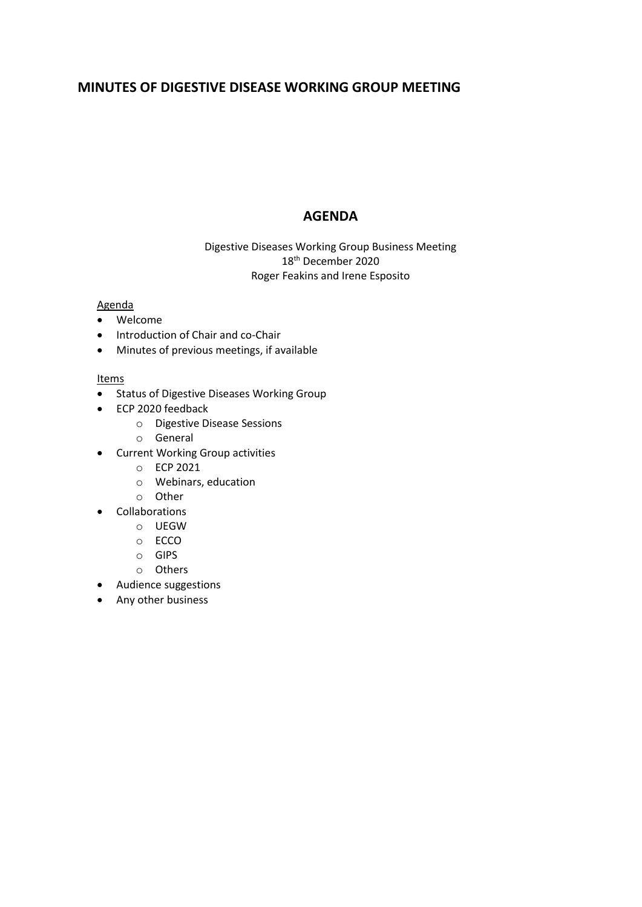# **MINUTES OF DIGESTIVE DISEASE WORKING GROUP MEETING**

# **AGENDA**

Digestive Diseases Working Group Business Meeting 18th December 2020 Roger Feakins and Irene Esposito

## Agenda

- Welcome
- Introduction of Chair and co-Chair
- Minutes of previous meetings, if available

### Items

- Status of Digestive Diseases Working Group
- ECP 2020 feedback
	- o Digestive Disease Sessions
	- o General
- Current Working Group activities
	- o ECP 2021
	- o Webinars, education
	- o Other
- **Collaborations** 
	- o UEGW
	- o ECCO
	- o GIPS
	- o Others
- Audience suggestions
- Any other business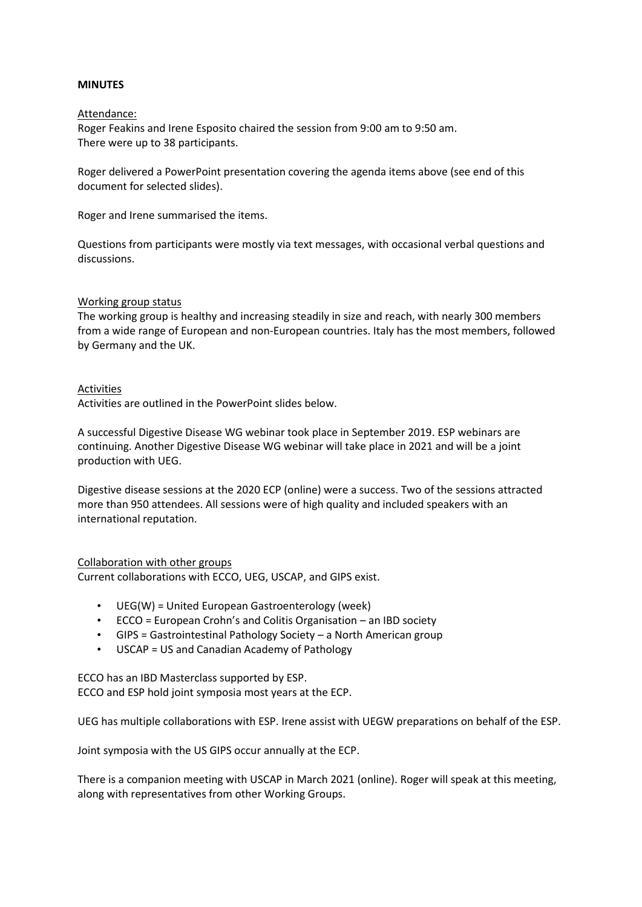#### **MINUTES**

#### Attendance:

Roger Feakins and Irene Esposito chaired the session from 9:00 am to 9:50 am. There were up to 38 participants.

Roger delivered a PowerPoint presentation covering the agenda items above (see end of this document for selected slides).

Roger and Irene summarised the items.

Questions from participants were mostly via text messages, with occasional verbal questions and discussions.

#### Working group status

The working group is healthy and increasing steadily in size and reach, with nearly 300 members from a wide range of European and non-European countries. Italy has the most members, followed by Germany and the UK.

#### Activities

Activities are outlined in the PowerPoint slides below.

A successful Digestive Disease WG webinar took place in September 2019. ESP webinars are continuing. Another Digestive Disease WG webinar will take place in 2021 and will be a joint production with UEG.

Digestive disease sessions at the 2020 ECP (online) were a success. Two of the sessions attracted more than 950 attendees. All sessions were of high quality and included speakers with an international reputation.

### Collaboration with other groups

Current collaborations with ECCO, UEG, USCAP, and GIPS exist.

- UEG(W) = United European Gastroenterology (week)
- ECCO = European Crohn's and Colitis Organisation an IBD society
- GIPS = Gastrointestinal Pathology Society a North American group
- USCAP = US and Canadian Academy of Pathology

ECCO has an IBD Masterclass supported by ESP. ECCO and ESP hold joint symposia most years at the ECP.

UEG has multiple collaborations with ESP. Irene assist with UEGW preparations on behalf of the ESP.

Joint symposia with the US GIPS occur annually at the ECP.

There is a companion meeting with USCAP in March 2021 (online). Roger will speak at this meeting, along with representatives from other Working Groups.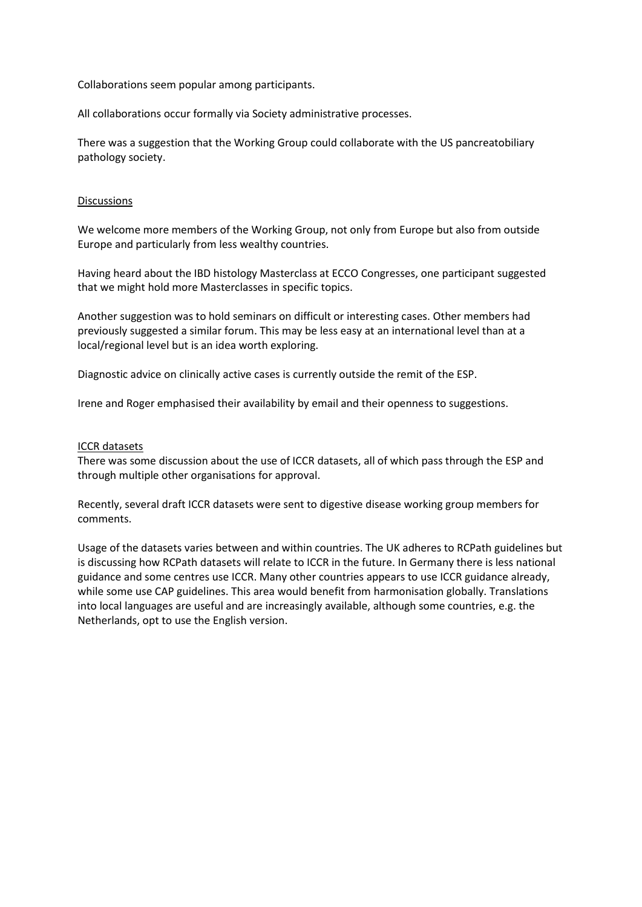Collaborations seem popular among participants.

All collaborations occur formally via Society administrative processes.

There was a suggestion that the Working Group could collaborate with the US pancreatobiliary pathology society.

#### Discussions

We welcome more members of the Working Group, not only from Europe but also from outside Europe and particularly from less wealthy countries.

Having heard about the IBD histology Masterclass at ECCO Congresses, one participant suggested that we might hold more Masterclasses in specific topics.

Another suggestion was to hold seminars on difficult or interesting cases. Other members had previously suggested a similar forum. This may be less easy at an international level than at a local/regional level but is an idea worth exploring.

Diagnostic advice on clinically active cases is currently outside the remit of the ESP.

Irene and Roger emphasised their availability by email and their openness to suggestions.

#### ICCR datasets

There was some discussion about the use of ICCR datasets, all of which pass through the ESP and through multiple other organisations for approval.

Recently, several draft ICCR datasets were sent to digestive disease working group members for comments.

Usage of the datasets varies between and within countries. The UK adheres to RCPath guidelines but is discussing how RCPath datasets will relate to ICCR in the future. In Germany there is less national guidance and some centres use ICCR. Many other countries appears to use ICCR guidance already, while some use CAP guidelines. This area would benefit from harmonisation globally. Translations into local languages are useful and are increasingly available, although some countries, e.g. the Netherlands, opt to use the English version.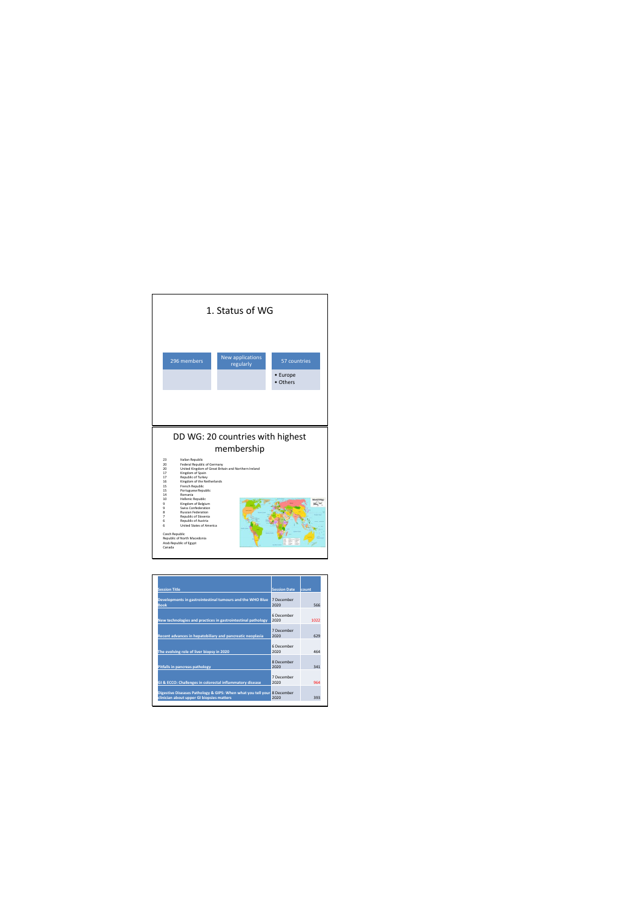

| <b>Session Title</b>                                                                                                 | <b>Session Date</b> | lcount |
|----------------------------------------------------------------------------------------------------------------------|---------------------|--------|
| Developments in gastrointestinal tumours and the WHO Blue<br><b>Book</b>                                             | 7 December<br>2020  | 566    |
| New technologies and practices in gastrointestinal pathology                                                         | 6 December<br>2020  | 1022   |
| Recent advances in hepatobiliary and pancreatic neoplasia                                                            | 7 December<br>2020  | 629    |
| The evolving role of liver biopsy in 2020                                                                            | 6 December<br>2020  | 464    |
| <b>Pitfalls in pancreas pathology</b>                                                                                | 8 December<br>2020  | 341    |
| GI & ECCO: Challenges in colorectal inflammatory disease                                                             | 7 December<br>2020  | 964    |
| Digestive Diseases Pathology & GIPS: When what you tell your 8 December<br>clinician about upper GI biopsies matters | 2020                | 393    |